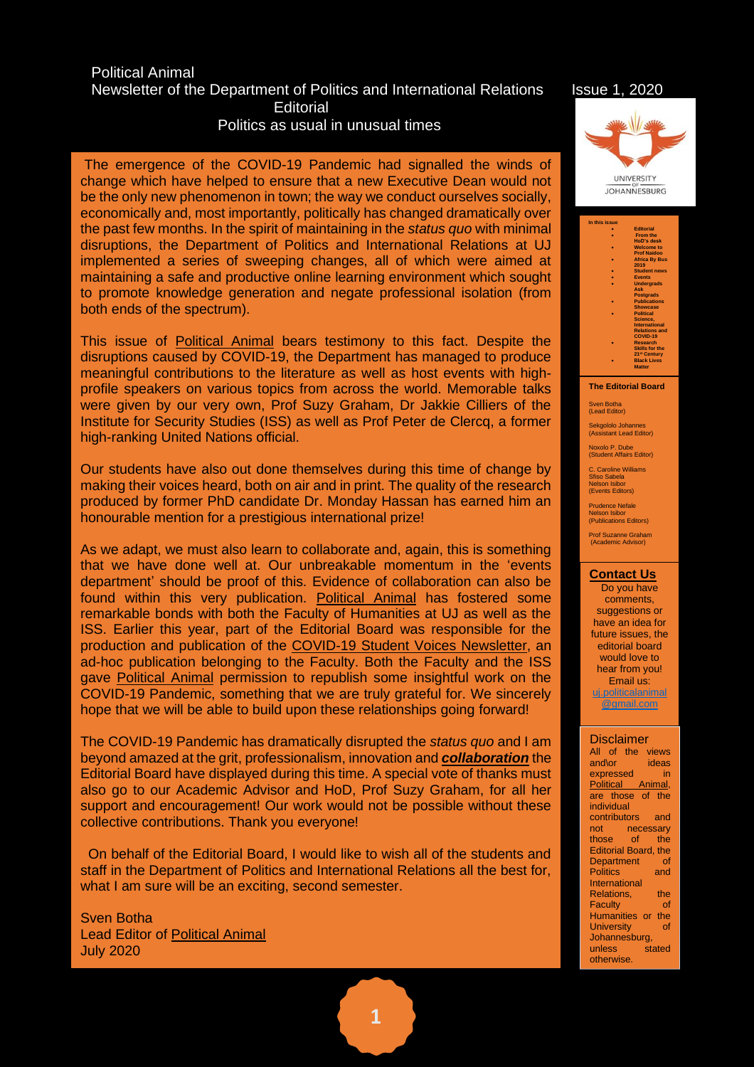# Political Animal Newsletter of the Department of Politics and International Relations Issue 1, 2020 **Editorial**

Politics as usual in unusual times

The emergence of the COVID-19 Pandemic had signalled the winds of change which have helped to ensure that a new Executive Dean would not be the only new phenomenon in town; the way we conduct ourselves socially, economically and, most importantly, politically has changed dramatically over the past few months. In the spirit of maintaining in the *status quo* with minimal disruptions, the Department of Politics and International Relations at UJ implemented a series of sweeping changes, all of which were aimed at maintaining a safe and productive online learning environment which sought to promote knowledge generation and negate professional isolation (from both ends of the spectrum).

This issue of Political Animal bears testimony to this fact. Despite the disruptions caused by COVID-19, the Department has managed to produce meaningful contributions to the literature as well as host events with highprofile speakers on various topics from across the world. Memorable talks were given by our very own, Prof Suzy Graham, Dr Jakkie Cilliers of the Institute for Security Studies (ISS) as well as Prof Peter de Clercq, a former high-ranking United Nations official.

Our students have also out done themselves during this time of change by making their voices heard, both on air and in print. The quality of the research produced by former PhD candidate Dr. Monday Hassan has earned him an honourable mention for a prestigious international prize!

As we adapt, we must also learn to collaborate and, again, this is something that we have done well at. Our unbreakable momentum in the 'events department' should be proof of this. Evidence of collaboration can also be found within this very publication. Political Animal has fostered some remarkable bonds with both the Faculty of Humanities at UJ as well as the ISS. Earlier this year, part of the Editorial Board was responsible for the production and publication of the COVID-19 Student Voices Newsletter, an ad-hoc publication belonging to the Faculty. Both the Faculty and the ISS gave Political Animal permission to republish some insightful work on the COVID-19 Pandemic, something that we are truly grateful for. We sincerely hope that we will be able to build upon these relationships going forward!

The COVID-19 Pandemic has dramatically disrupted the *status quo* and I am beyond amazed at the grit, professionalism, innovation and *collaboration* the Editorial Board have displayed during this time. A special vote of thanks must also go to our Academic Advisor and HoD, Prof Suzy Graham, for all her support and encouragement! Our work would not be possible without these collective contributions. Thank you everyone!

 On behalf of the Editorial Board, I would like to wish all of the students and staff in the Department of Politics and International Relations all the best for, what I am sure will be an exciting, second semester.

Sven Botha Lead Editor of Political Animal July 2020



| In this issue |                          |
|---------------|--------------------------|
|               | <b>Editorial</b>         |
|               | <b>From the</b>          |
|               | <b>HoD's desk</b>        |
|               | <b>Welcome to</b>        |
|               | <b>Prof Naidoo</b>       |
|               | <b>Africa By Bus</b>     |
|               | 2019                     |
|               | <b>Student news</b>      |
|               | <b>Events</b>            |
|               | <b>Undergrads</b>        |
|               | Ask                      |
|               | <b>Postgrads</b>         |
|               | <b>Publications</b>      |
|               | <b>Showcase</b>          |
|               | <b>Political</b>         |
|               | Science.                 |
|               | <b>International</b>     |
|               | <b>Relations and</b>     |
|               | COVID-19                 |
|               | <b>Research</b>          |
|               | Skills for the           |
|               | 21 <sup>st</sup> Century |
|               | <b>Black Lives</b>       |
|               | <b>Matter</b>            |

#### **The Editorial Board**

Sven Botha (Lead Editor)

Sekgololo Johannes (Assistant Lead Editor)

Noxolo P. Dube (Student Affairs Editor)

C. Caroline Williams Sfiso Sabela Nelson Isibor (Events Editors)

Prudence Nefale Nelson Isibor (Publications Editors)

Prof Suzanne Graham (Academic Advisor)

### **Contact Us**

Do you have comments, suggestions or have an idea for future issues, the editorial board would love to hear from you! Email us: [uj.politicalanimal](mailto:uj.politicalanimal@gmail.com) [@gmail.com](mailto:uj.politicalanimal@gmail.com)

#### **Disclaimer**

|                             |  | All of the views                        |  |                                                                                                                                                                                                                                      |  |
|-----------------------------|--|-----------------------------------------|--|--------------------------------------------------------------------------------------------------------------------------------------------------------------------------------------------------------------------------------------|--|
| and\or                      |  |                                         |  | ideas                                                                                                                                                                                                                                |  |
| expressed                   |  |                                         |  | in in the set of the first of the set of the set of the set of the set of the set of the set of the set of the<br>Set of the set of the set of the set of the set of the set of the set of the set of the set of the set of the<br>S |  |
|                             |  | Political Animal,                       |  |                                                                                                                                                                                                                                      |  |
|                             |  | are those of the                        |  |                                                                                                                                                                                                                                      |  |
| individual                  |  |                                         |  |                                                                                                                                                                                                                                      |  |
|                             |  | contributors and                        |  |                                                                                                                                                                                                                                      |  |
| not                         |  | <b>Example 20 Discussion Discussion</b> |  |                                                                                                                                                                                                                                      |  |
|                             |  | those of the                            |  |                                                                                                                                                                                                                                      |  |
| <b>Editorial Board, the</b> |  |                                         |  |                                                                                                                                                                                                                                      |  |
|                             |  | Department                              |  | <b>c</b> of                                                                                                                                                                                                                          |  |
| <b>Politics</b>             |  |                                         |  | and                                                                                                                                                                                                                                  |  |
| International               |  |                                         |  |                                                                                                                                                                                                                                      |  |
| <b>Relations,</b>           |  |                                         |  | the                                                                                                                                                                                                                                  |  |
| <b>Faculty</b>              |  |                                         |  | of                                                                                                                                                                                                                                   |  |
| <b>Humanities</b>           |  |                                         |  | or the                                                                                                                                                                                                                               |  |
| <b>University</b>           |  |                                         |  | of                                                                                                                                                                                                                                   |  |
| Johannesburg,               |  |                                         |  |                                                                                                                                                                                                                                      |  |
| unless                      |  |                                         |  | stated                                                                                                                                                                                                                               |  |
| otherwise.                  |  |                                         |  |                                                                                                                                                                                                                                      |  |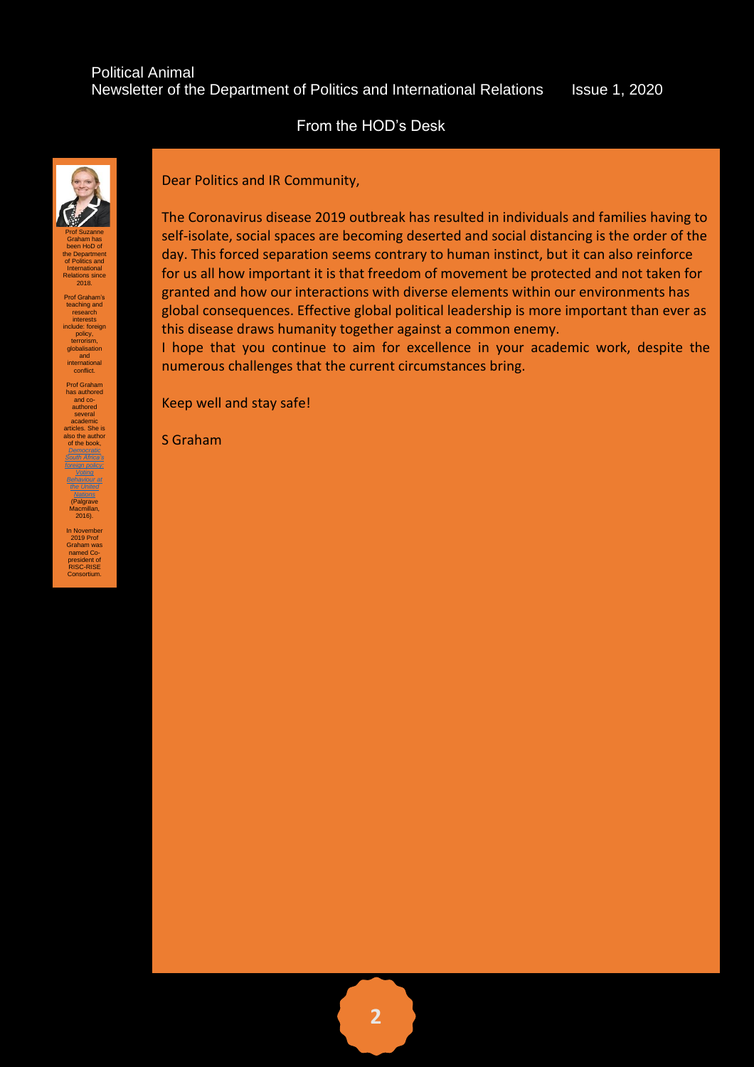# From the HOD's Desk



Graham has been HoD of the Department of Politics and International Relations since 2018.

Prof Graham's<br>
teaching and<br>
interests<br>
include: foreign<br>
include: foreign<br>
policy,<br>
terrorism,<br>
globalisation<br>
and international conflict.

Prof Graham has authored and co-authored several academic articles. She is also the author of the book, *[Democratic](https://www.palgrave.com/gp/book/9781137593801)  [South Africa's](https://www.palgrave.com/gp/book/9781137593801)  [foreign policy:](https://www.palgrave.com/gp/book/9781137593801)  [Voting](https://www.palgrave.com/gp/book/9781137593801)  [Behaviour at](https://www.palgrave.com/gp/book/9781137593801)  [the United](https://www.palgrave.com/gp/book/9781137593801)  [Nations](https://www.palgrave.com/gp/book/9781137593801)* (Palgrave Macmillan, 2016).

In November 2019 Prof Graham was named Copresident of RISC-RISE Consortium.

Dear Politics and IR Community,

The Coronavirus disease 2019 outbreak has resulted in individuals and families having to self-isolate, social spaces are becoming deserted and social distancing is the order of the day. This forced separation seems contrary to human instinct, but it can also reinforce for us all how important it is that freedom of movement be protected and not taken for granted and how our interactions with diverse elements within our environments has global consequences. Effective global political leadership is more important than ever as this disease draws humanity together against a common enemy.

I hope that you continue to aim for excellence in your academic work, despite the numerous challenges that the current circumstances bring.

Keep well and stay safe!

S Graham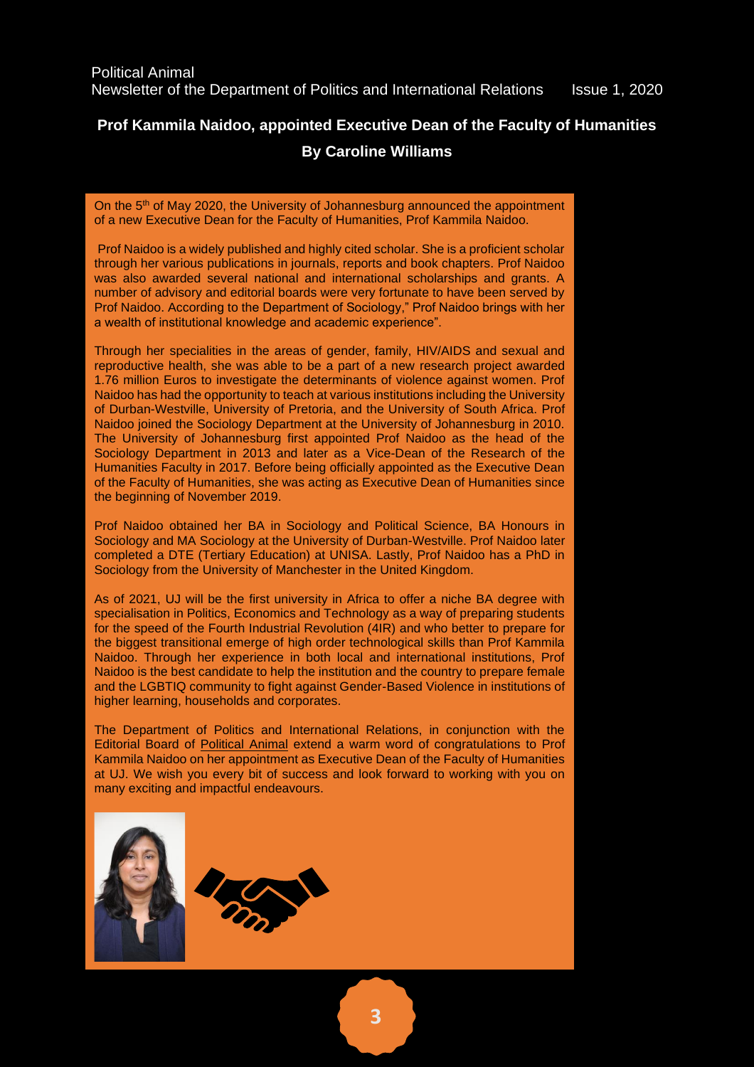# **Prof Kammila Naidoo, appointed Executive Dean of the Faculty of Humanities By Caroline Williams**

On the 5th of May 2020, the University of Johannesburg announced the appointment of a new Executive Dean for the Faculty of Humanities, Prof Kammila Naidoo.

Prof Naidoo is a widely published and highly cited scholar. She is a proficient scholar through her various publications in journals, reports and book chapters. Prof Naidoo was also awarded several national and international scholarships and grants. A number of advisory and editorial boards were very fortunate to have been served by Prof Naidoo. According to the Department of Sociology," Prof Naidoo brings with her a wealth of institutional knowledge and academic experience".

Through her specialities in the areas of gender, family, HIV/AIDS and sexual and reproductive health, she was able to be a part of a new research project awarded 1.76 million Euros to investigate the determinants of violence against women. Prof Naidoo has had the opportunity to teach at various institutions including the University of Durban-Westville, University of Pretoria, and the University of South Africa. Prof Naidoo joined the Sociology Department at the University of Johannesburg in 2010. The University of Johannesburg first appointed Prof Naidoo as the head of the Sociology Department in 2013 and later as a Vice-Dean of the Research of the Humanities Faculty in 2017. Before being officially appointed as the Executive Dean of the Faculty of Humanities, she was acting as Executive Dean of Humanities since the beginning of November 2019.

Prof Naidoo obtained her BA in Sociology and Political Science, BA Honours in Sociology and MA Sociology at the University of Durban-Westville. Prof Naidoo later completed a DTE (Tertiary Education) at UNISA. Lastly, Prof Naidoo has a PhD in Sociology from the University of Manchester in the United Kingdom.

As of 2021, UJ will be the first university in Africa to offer a niche BA degree with specialisation in Politics, Economics and Technology as a way of preparing students for the speed of the Fourth Industrial Revolution (4IR) and who better to prepare for the biggest transitional emerge of high order technological skills than Prof Kammila Naidoo. Through her experience in both local and international institutions, Prof Naidoo is the best candidate to help the institution and the country to prepare female and the LGBTIQ community to fight against Gender-Based Violence in institutions of higher learning, households and corporates.

The Department of Politics and International Relations, in conjunction with the Editorial Board of Political Animal extend a warm word of congratulations to Prof Kammila Naidoo on her appointment as Executive Dean of the Faculty of Humanities at UJ. We wish you every bit of success and look forward to working with you on many exciting and impactful endeavours.



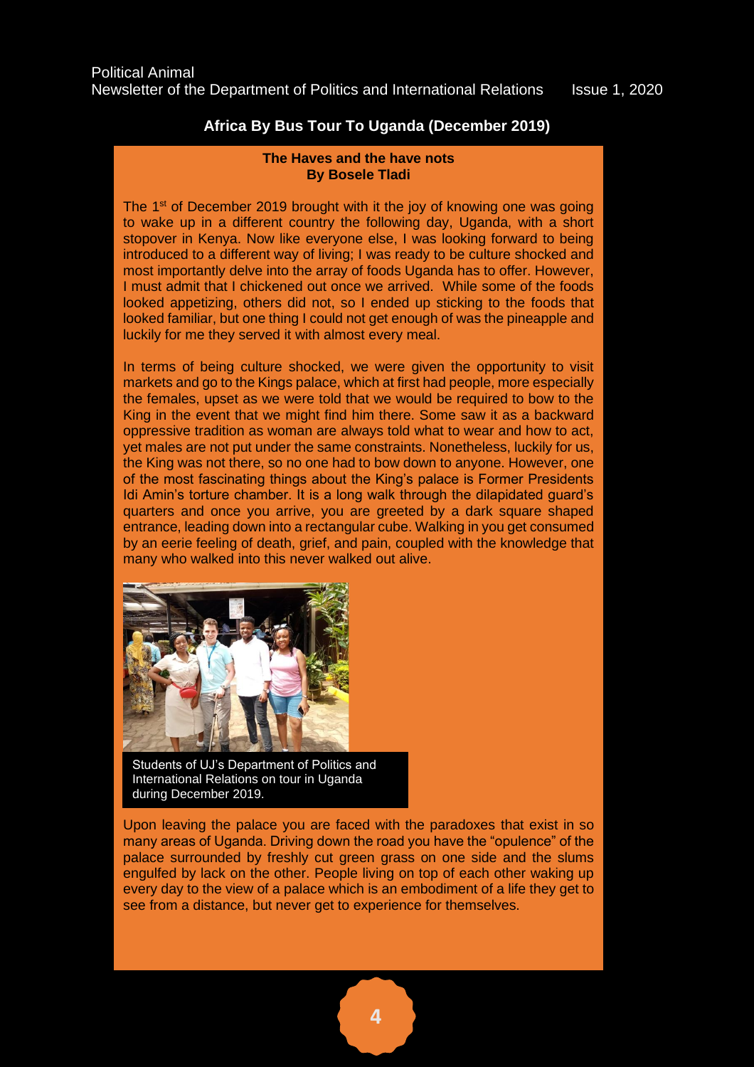# **Africa By Bus Tour To Uganda (December 2019)**

## **The Haves and the have nots By Bosele Tladi**

The  $1<sup>st</sup>$  of December 2019 brought with it the joy of knowing one was going to wake up in a different country the following day, Uganda, with a short stopover in Kenya. Now like everyone else, I was looking forward to being introduced to a different way of living; I was ready to be culture shocked and most importantly delve into the array of foods Uganda has to offer. However, I must admit that I chickened out once we arrived. While some of the foods looked appetizing, others did not, so I ended up sticking to the foods that looked familiar, but one thing I could not get enough of was the pineapple and luckily for me they served it with almost every meal.

In terms of being culture shocked, we were given the opportunity to visit markets and go to the Kings palace, which at first had people, more especially the females, upset as we were told that we would be required to bow to the King in the event that we might find him there. Some saw it as a backward oppressive tradition as woman are always told what to wear and how to act, yet males are not put under the same constraints. Nonetheless, luckily for us, the King was not there, so no one had to bow down to anyone. However, one of the most fascinating things about the King's palace is Former Presidents Idi Amin's torture chamber. It is a long walk through the dilapidated guard's quarters and once you arrive, you are greeted by a dark square shaped entrance, leading down into a rectangular cube. Walking in you get consumed by an eerie feeling of death, grief, and pain, coupled with the knowledge that many who walked into this never walked out alive.



Students of UJ's Department of Politics and International Relations on tour in Uganda during December 2019.

Upon leaving the palace you are faced with the paradoxes that exist in so many areas of Uganda. Driving down the road you have the "opulence" of the palace surrounded by freshly cut green grass on one side and the slums engulfed by lack on the other. People living on top of each other waking up every day to the view of a palace which is an embodiment of a life they get to see from a distance, but never get to experience for themselves.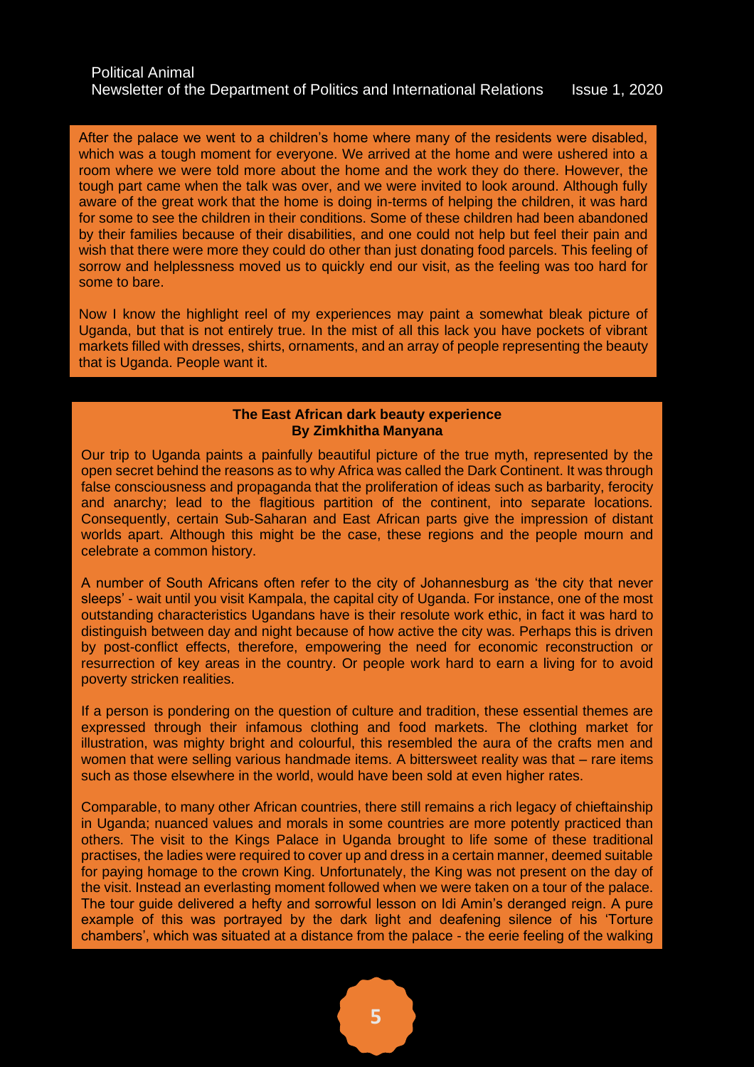After the palace we went to a children's home where many of the residents were disabled, which was a tough moment for everyone. We arrived at the home and were ushered into a room where we were told more about the home and the work they do there. However, the tough part came when the talk was over, and we were invited to look around. Although fully aware of the great work that the home is doing in-terms of helping the children, it was hard for some to see the children in their conditions. Some of these children had been abandoned by their families because of their disabilities, and one could not help but feel their pain and wish that there were more they could do other than just donating food parcels. This feeling of sorrow and helplessness moved us to quickly end our visit, as the feeling was too hard for some to bare.

Now I know the highlight reel of my experiences may paint a somewhat bleak picture of Uganda, but that is not entirely true. In the mist of all this lack you have pockets of vibrant markets filled with dresses, shirts, ornaments, and an array of people representing the beauty that is Uganda. People want it.

### **The East African dark beauty experience By Zimkhitha Manyana**

Our trip to Uganda paints a painfully beautiful picture of the true myth, represented by the open secret behind the reasons as to why Africa was called the Dark Continent. It was through false consciousness and propaganda that the proliferation of ideas such as barbarity, ferocity and anarchy; lead to the flagitious partition of the continent, into separate locations. Consequently, certain Sub-Saharan and East African parts give the impression of distant worlds apart. Although this might be the case, these regions and the people mourn and celebrate a common history.

A number of South Africans often refer to the city of Johannesburg as 'the city that never sleeps' - wait until you visit Kampala, the capital city of Uganda. For instance, one of the most outstanding characteristics Ugandans have is their resolute work ethic, in fact it was hard to distinguish between day and night because of how active the city was. Perhaps this is driven by post-conflict effects, therefore, empowering the need for economic reconstruction or resurrection of key areas in the country. Or people work hard to earn a living for to avoid poverty stricken realities.

If a person is pondering on the question of culture and tradition, these essential themes are expressed through their infamous clothing and food markets. The clothing market for illustration, was mighty bright and colourful, this resembled the aura of the crafts men and women that were selling various handmade items. A bittersweet reality was that – rare items such as those elsewhere in the world, would have been sold at even higher rates.

Comparable, to many other African countries, there still remains a rich legacy of chieftainship in Uganda; nuanced values and morals in some countries are more potently practiced than others. The visit to the Kings Palace in Uganda brought to life some of these traditional practises, the ladies were required to cover up and dress in a certain manner, deemed suitable for paying homage to the crown King. Unfortunately, the King was not present on the day of the visit. Instead an everlasting moment followed when we were taken on a tour of the palace. The tour guide delivered a hefty and sorrowful lesson on Idi Amin's deranged reign. A pure example of this was portrayed by the dark light and deafening silence of his 'Torture chambers', which was situated at a distance from the palace - the eerie feeling of the walking

dead, is unforgettable. But, there is light at the end of the tunnel, the tour guide shared a story



Another impactful and memorable visit, was that of Makerere University. We were afforded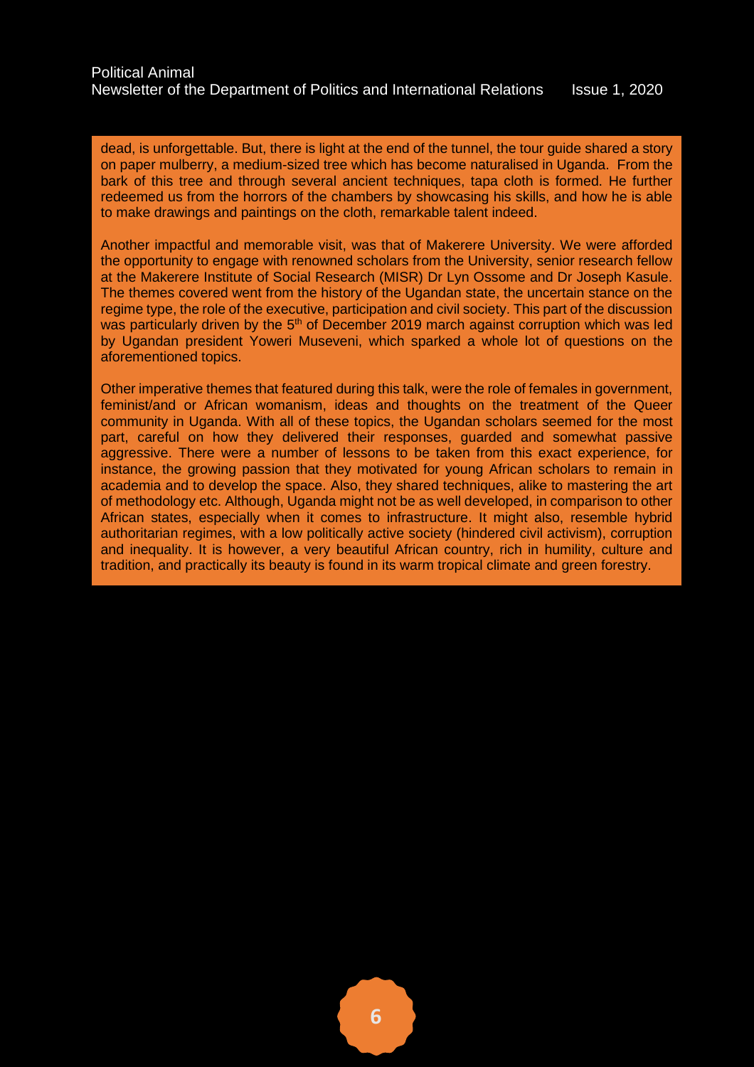dead, is unforgettable. But, there is light at the end of the tunnel, the tour guide shared a story on paper mulberry, a medium-sized tree which has become naturalised in Uganda. From the bark of this tree and through several ancient techniques, tapa cloth is formed. He further redeemed us from the horrors of the chambers by showcasing his skills, and how he is able to make drawings and paintings on the cloth, remarkable talent indeed.

Another impactful and memorable visit, was that of Makerere University. We were afforded the opportunity to engage with renowned scholars from the University, senior research fellow at the Makerere Institute of Social Research (MISR) Dr Lyn Ossome and Dr Joseph Kasule. The themes covered went from the history of the Ugandan state, the uncertain stance on the regime type, the role of the executive, participation and civil society. This part of the discussion was particularly driven by the 5<sup>th</sup> of December 2019 march against corruption which was led by Ugandan president Yoweri Museveni, which sparked a whole lot of questions on the aforementioned topics.

Other imperative themes that featured during this talk, were the role of females in government, feminist/and or African womanism, ideas and thoughts on the treatment of the Queer community in Uganda. With all of these topics, the Ugandan scholars seemed for the most part, careful on how they delivered their responses, guarded and somewhat passive aggressive. There were a number of lessons to be taken from this exact experience, for instance, the growing passion that they motivated for young African scholars to remain in academia and to develop the space. Also, they shared techniques, alike to mastering the art of methodology etc. Although, Uganda might not be as well developed, in comparison to other African states, especially when it comes to infrastructure. It might also, resemble hybrid authoritarian regimes, with a low politically active society (hindered civil activism), corruption and inequality. It is however, a very beautiful African country, rich in humility, culture and tradition, and practically its beauty is found in its warm tropical climate and green forestry.

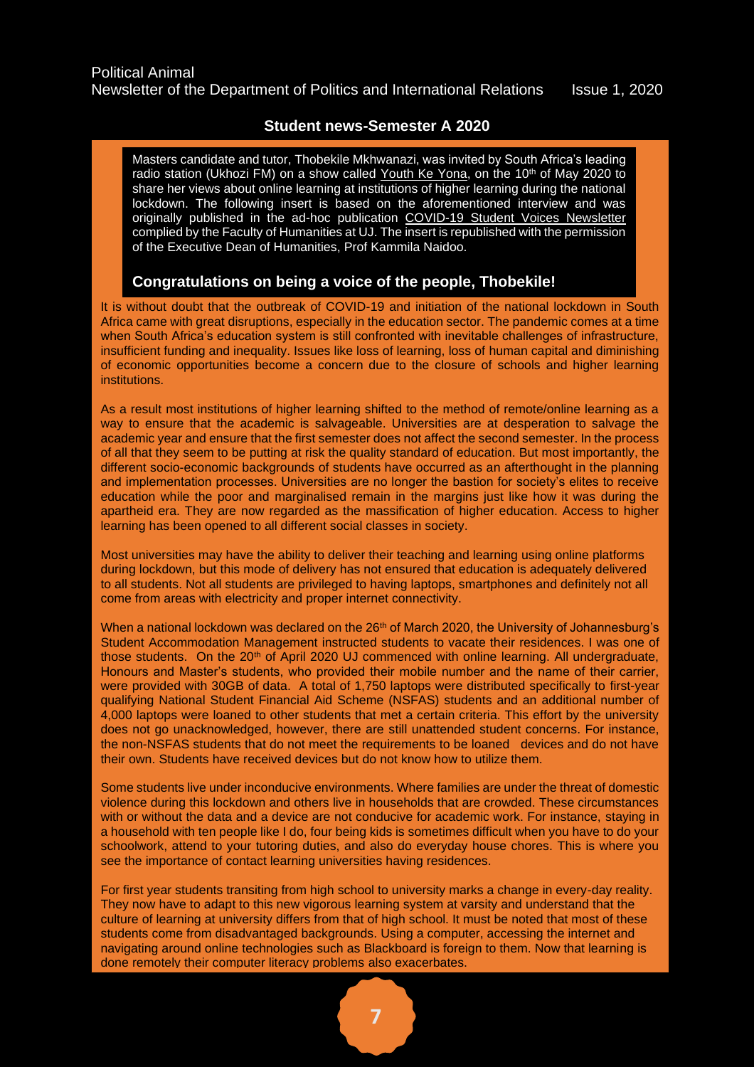# **Student news-Semester A 2020**

Masters candidate and tutor, Thobekile Mkhwanazi, was invited by South Africa's leading radio station (Ukhozi FM) on a show called Youth Ke Yona, on the  $10<sup>th</sup>$  of May 2020 to share her views about online learning at institutions of higher learning during the national lockdown. The following insert is based on the aforementioned interview and was originally published in the ad-hoc publication COVID-19 Student Voices Newsletter complied by the Faculty of Humanities at UJ. The insert is republished with the permission of the Executive Dean of Humanities, Prof Kammila Naidoo.

# **Congratulations on being a voice of the people, Thobekile!**

It is without doubt that the outbreak of COVID-19 and initiation of the national lockdown in South Africa came with great disruptions, especially in the education sector. The pandemic comes at a time when South Africa's education system is still confronted with inevitable challenges of infrastructure, insufficient funding and inequality. Issues like loss of learning, loss of human capital and diminishing of economic opportunities become a concern due to the closure of schools and higher learning institutions.

As a result most institutions of higher learning shifted to the method of remote/online learning as a way to ensure that the academic is salvageable. Universities are at desperation to salvage the academic year and ensure that the first semester does not affect the second semester. In the process of all that they seem to be putting at risk the quality standard of education. But most importantly, the different socio-economic backgrounds of students have occurred as an afterthought in the planning and implementation processes. Universities are no longer the bastion for society's elites to receive education while the poor and marginalised remain in the margins just like how it was during the apartheid era. They are now regarded as the massification of higher education. Access to higher learning has been opened to all different social classes in society.

Most universities may have the ability to deliver their teaching and learning using online platforms during lockdown, but this mode of delivery has not ensured that education is adequately delivered to all students. Not all students are privileged to having laptops, smartphones and definitely not all come from areas with electricity and proper internet connectivity.

When a national lockdown was declared on the 26<sup>th</sup> of March 2020, the University of Johannesburg's Student Accommodation Management instructed students to vacate their residences. I was one of those students. On the 20<sup>th</sup> of April 2020 UJ commenced with online learning. All undergraduate, Honours and Master's students, who provided their mobile number and the name of their carrier, were provided with 30GB of data. A total of 1,750 laptops were distributed specifically to first-year qualifying National Student Financial Aid Scheme (NSFAS) students and an additional number of 4,000 laptops were loaned to other students that met a certain criteria. This effort by the university does not go unacknowledged, however, there are still unattended student concerns. For instance, the non-NSFAS students that do not meet the requirements to be loaned devices and do not have their own. Students have received devices but do not know how to utilize them.

Some students live under inconducive environments. Where families are under the threat of domestic violence during this lockdown and others live in households that are crowded. These circumstances with or without the data and a device are not conducive for academic work. For instance, staying in a household with ten people like I do, four being kids is sometimes difficult when you have to do your schoolwork, attend to your tutoring duties, and also do everyday house chores. This is where you see the importance of contact learning universities having residences.

For first year students transiting from high school to university marks a change in every-day reality. They now have to adapt to this new vigorous learning system at varsity and understand that the culture of learning at university differs from that of high school. It must be noted that most of these students come from disadvantaged backgrounds. Using a computer, accessing the internet and navigating around online technologies such as Blackboard is foreign to them. Now that learning is done remotely their computer literacy problems also exacerbates.

**7**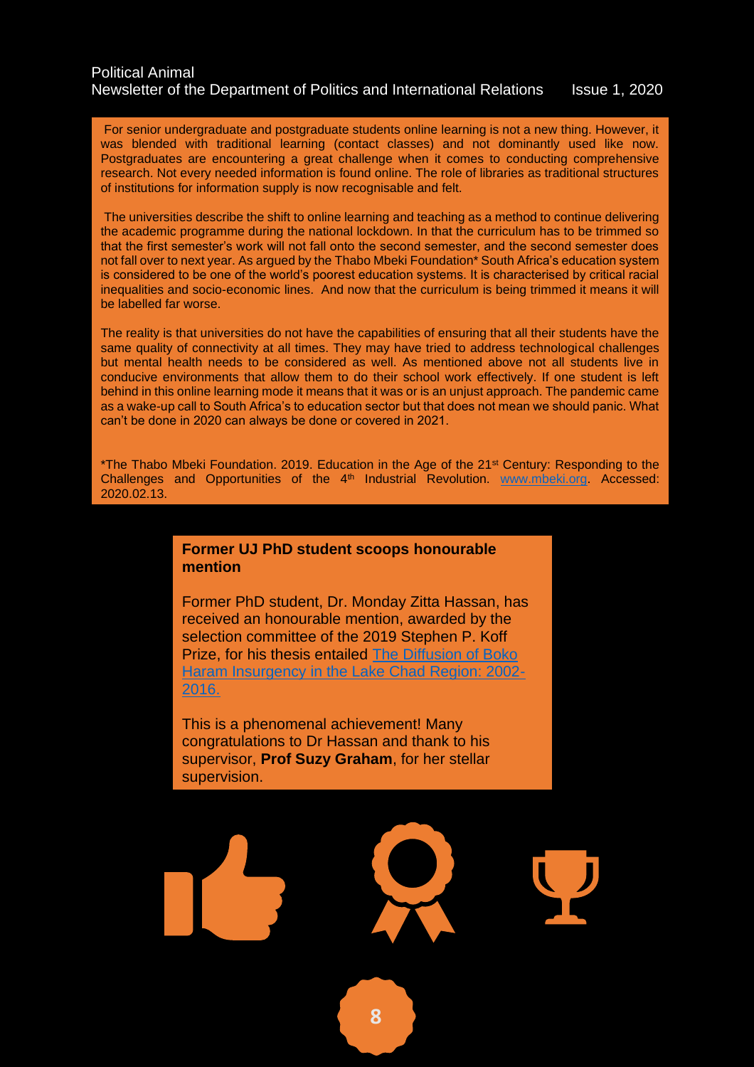# Political Animal Newsletter of the Department of Politics and International Relations Issue 1, 2020

For senior undergraduate and postgraduate students online learning is not a new thing. However, it was blended with traditional learning (contact classes) and not dominantly used like now. Postgraduates are encountering a great challenge when it comes to conducting comprehensive research. Not every needed information is found online. The role of libraries as traditional structures of institutions for information supply is now recognisable and felt.

The universities describe the shift to online learning and teaching as a method to continue delivering the academic programme during the national lockdown. In that the curriculum has to be trimmed so that the first semester's work will not fall onto the second semester, and the second semester does not fall over to next year. As argued by the Thabo Mbeki Foundation\* South Africa's education system is considered to be one of the world's poorest education systems. It is characterised by critical racial inequalities and socio-economic lines. And now that the curriculum is being trimmed it means it will be labelled far worse.

The reality is that universities do not have the capabilities of ensuring that all their students have the same quality of connectivity at all times. They may have tried to address technological challenges but mental health needs to be considered as well. As mentioned above not all students live in conducive environments that allow them to do their school work effectively. If one student is left behind in this online learning mode it means that it was or is an unjust approach. The pandemic came as a wake-up call to South Africa's to education sector but that does not mean we should panic. What can't be done in 2020 can always be done or covered in 2021.

\*The Thabo Mbeki Foundation. 2019. Education in the Age of the 21<sup>st</sup> Century: Responding to the Challenges and Opportunities of the 4<sup>th</sup> Industrial Revolution. [www.mbeki.org.](http://www.mbeki.org/) Accessed: 2020.02.13.

# **Former UJ PhD student scoops honourable mention**

Former PhD student, Dr. Monday Zitta Hassan, has received an honourable mention, awarded by the selection committee of the 2019 Stephen P. Koff Prize, for his thesis entailed [The Diffusion of Boko](https://ujcontent.uj.ac.za/vital/access/manager/Repository/uj:32276?site_name=GlobalView)  [Haram Insurgency in the Lake Chad Region: 2002-](https://ujcontent.uj.ac.za/vital/access/manager/Repository/uj:32276?site_name=GlobalView) [2016.](https://ujcontent.uj.ac.za/vital/access/manager/Repository/uj:32276?site_name=GlobalView)

This is a phenomenal achievement! Many congratulations to Dr Hassan and thank to his supervisor, **Prof Suzy Graham**, for her stellar supervision.

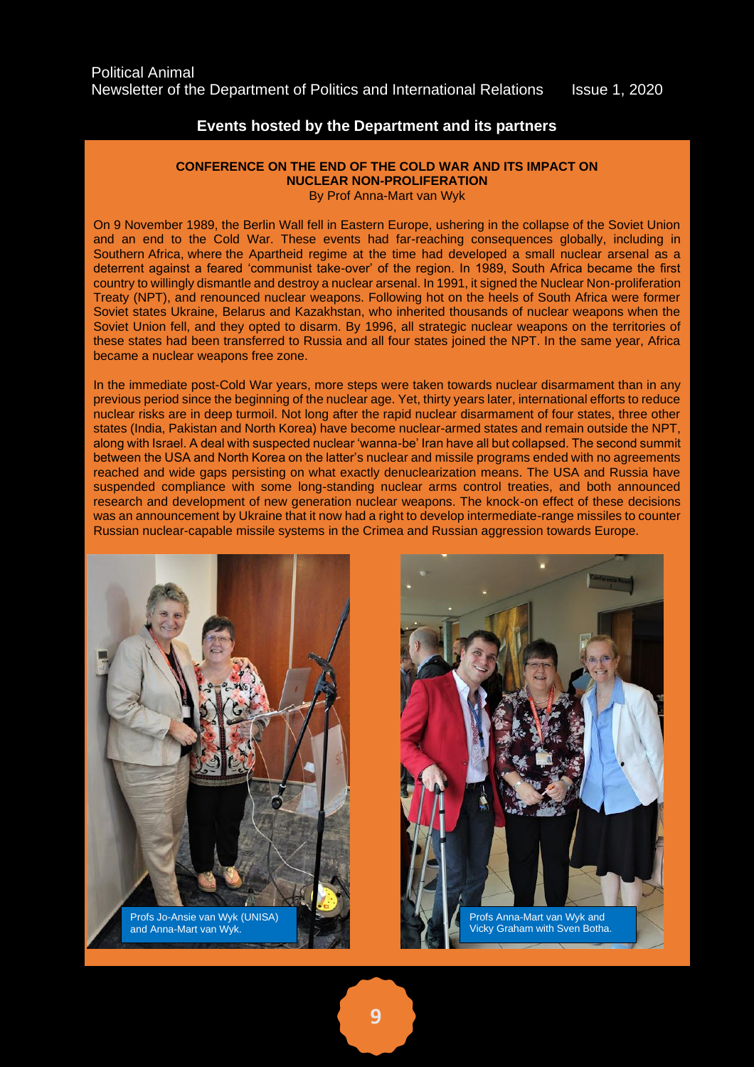# **Events hosted by the Department and its partners**

## **CONFERENCE ON THE END OF THE COLD WAR AND ITS IMPACT ON NUCLEAR NON-PROLIFERATION**

By Prof Anna-Mart van Wyk

On 9 November 1989, the Berlin Wall fell in Eastern Europe, ushering in the collapse of the Soviet Union and an end to the Cold War. These events had far-reaching consequences globally, including in Southern Africa, where the Apartheid regime at the time had developed a small nuclear arsenal as a deterrent against a feared 'communist take-over' of the region. In 1989, South Africa became the first country to willingly dismantle and destroy a nuclear arsenal. In 1991, it signed the Nuclear Non-proliferation Treaty (NPT), and renounced nuclear weapons. Following hot on the heels of South Africa were former Soviet states Ukraine, Belarus and Kazakhstan, who inherited thousands of nuclear weapons when the Soviet Union fell, and they opted to disarm. By 1996, all strategic nuclear weapons on the territories of these states had been transferred to Russia and all four states joined the NPT. In the same year, Africa became a nuclear weapons free zone.

In the immediate post-Cold War years, more steps were taken towards nuclear disarmament than in any previous period since the beginning of the nuclear age. Yet, thirty years later, international efforts to reduce nuclear risks are in deep turmoil. Not long after the rapid nuclear disarmament of four states, three other states (India, Pakistan and North Korea) have become nuclear-armed states and remain outside the NPT, along with Israel. A deal with suspected nuclear 'wanna-be' Iran have all but collapsed. The second summit between the USA and North Korea on the latter's nuclear and missile programs ended with no agreements reached and wide gaps persisting on what exactly denuclearization means. The USA and Russia have suspended compliance with some long-standing nuclear arms control treaties, and both announced research and development of new generation nuclear weapons. The knock-on effect of these decisions was an announcement by Ukraine that it now had a right to develop intermediate-range missiles to counter Russian nuclear-capable missile systems in the Crimea and Russian aggression towards Europe.



I

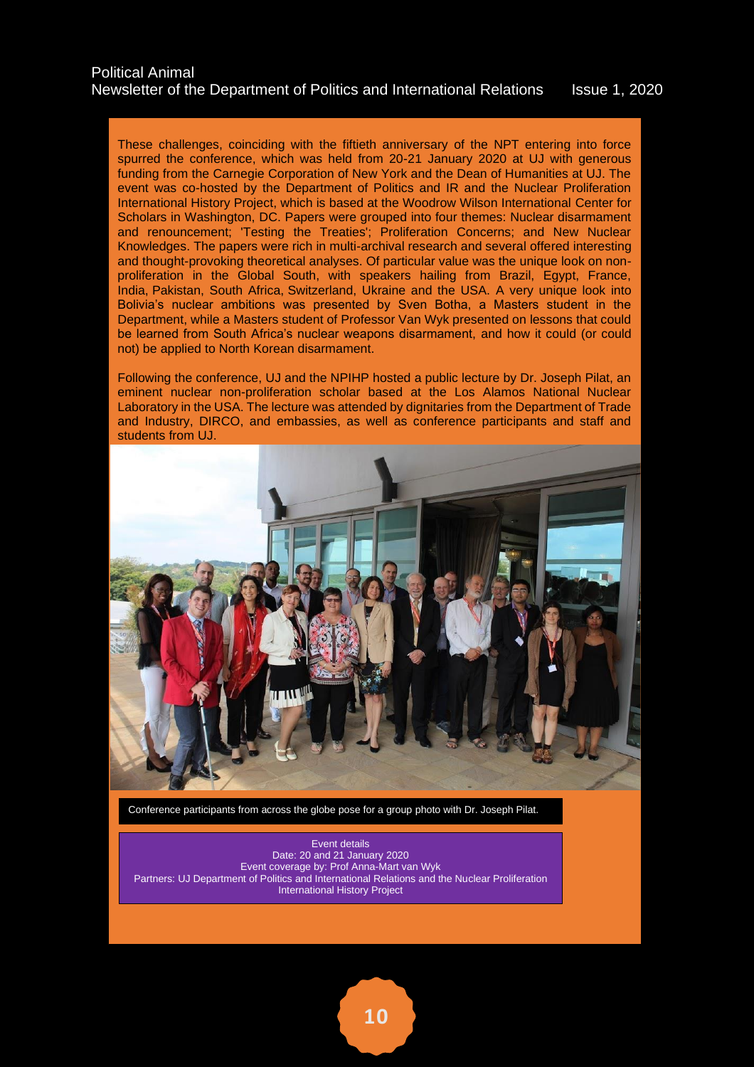These challenges, coinciding with the fiftieth anniversary of the NPT entering into force spurred the conference, which was held from 20-21 January 2020 at UJ with generous funding from the Carnegie Corporation of New York and the Dean of Humanities at UJ. The event was co-hosted by the Department of Politics and IR and the Nuclear Proliferation International History Project, which is based at the Woodrow Wilson International Center for Scholars in Washington, DC. Papers were grouped into four themes: Nuclear disarmament and renouncement; 'Testing the Treaties'; Proliferation Concerns; and New Nuclear Knowledges. The papers were rich in multi-archival research and several offered interesting and thought-provoking theoretical analyses. Of particular value was the unique look on nonproliferation in the Global South, with speakers hailing from Brazil, Egypt, France, India, Pakistan, South Africa, Switzerland, Ukraine and the USA. A very unique look into Bolivia's nuclear ambitions was presented by Sven Botha, a Masters student in the Department, while a Masters student of Professor Van Wyk presented on lessons that could be learned from South Africa's nuclear weapons disarmament, and how it could (or could not) be applied to North Korean disarmament.

Following the conference, UJ and the NPIHP hosted a public lecture by Dr. Joseph Pilat, an eminent nuclear non-proliferation scholar based at the Los Alamos National Nuclear Laboratory in the USA. The lecture was attended by dignitaries from the Department of Trade and Industry, DIRCO, and embassies, as well as conference participants and staff and students from UJ.



Conference participants from across the globe pose for a group photo with Dr. Joseph Pilat.

Event details Date: 20 and 21 January 2020 Event coverage by: Prof Anna-Mart van Wyk Partners: UJ Department of Politics and International Relations and the Nuclear Proliferation International History Project

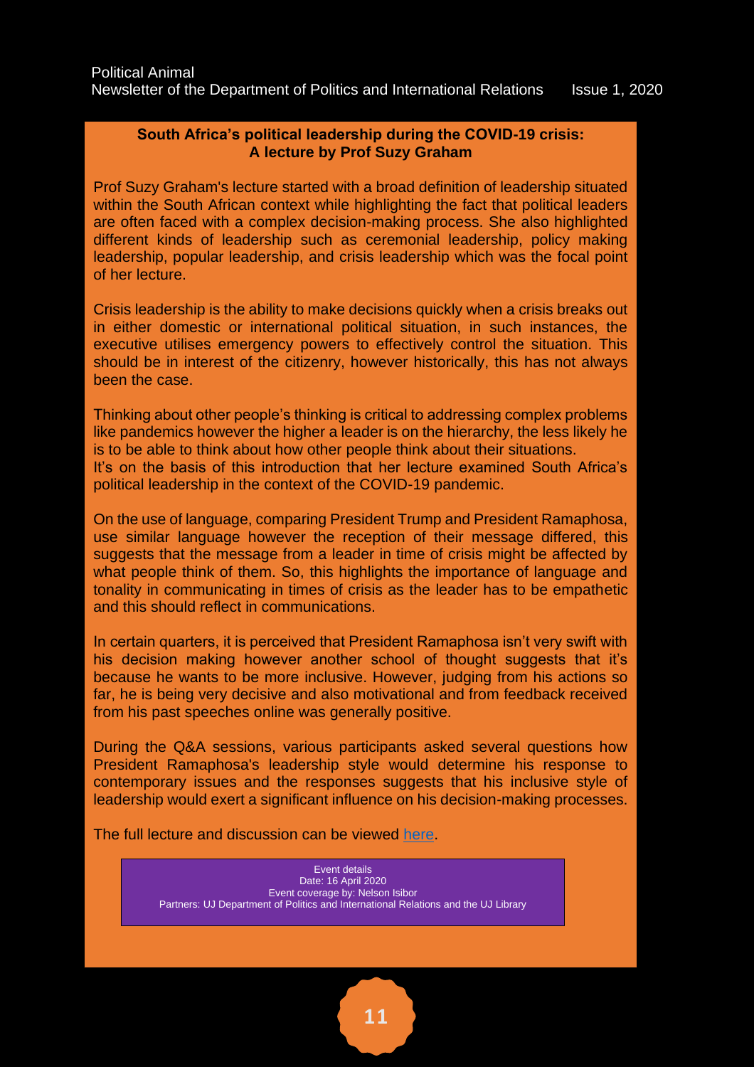# **South Africa's political leadership during the COVID-19 crisis: A lecture by Prof Suzy Graham**

Prof Suzy Graham's lecture started with a broad definition of leadership situated within the South African context while highlighting the fact that political leaders are often faced with a complex decision-making process. She also highlighted different kinds of leadership such as ceremonial leadership, policy making leadership, popular leadership, and crisis leadership which was the focal point of her lecture.

Crisis leadership is the ability to make decisions quickly when a crisis breaks out in either domestic or international political situation, in such instances, the executive utilises emergency powers to effectively control the situation. This should be in interest of the citizenry, however historically, this has not always been the case.

Thinking about other people's thinking is critical to addressing complex problems like pandemics however the higher a leader is on the hierarchy, the less likely he is to be able to think about how other people think about their situations. It's on the basis of this introduction that her lecture examined South Africa's political leadership in the context of the COVID-19 pandemic.

On the use of language, comparing President Trump and President Ramaphosa, use similar language however the reception of their message differed, this suggests that the message from a leader in time of crisis might be affected by what people think of them. So, this highlights the importance of language and tonality in communicating in times of crisis as the leader has to be empathetic and this should reflect in communications.

In certain quarters, it is perceived that President Ramaphosa isn't very swift with his decision making however another school of thought suggests that it's because he wants to be more inclusive. However, judging from his actions so far, he is being very decisive and also motivational and from feedback received from his past speeches online was generally positive.

During the Q&A sessions, various participants asked several questions how President Ramaphosa's leadership style would determine his response to contemporary issues and the responses suggests that his inclusive style of leadership would exert a significant influence on his decision-making processes.

The full lecture and discussion can be viewed [here.](https://www.youtube.com/watch?v=__-asKx5DVs&t=120s)

Event details Date: 16 April 2020 Event coverage by: Nelson Isibor Partners: UJ Department of Politics and International Relations and the UJ Library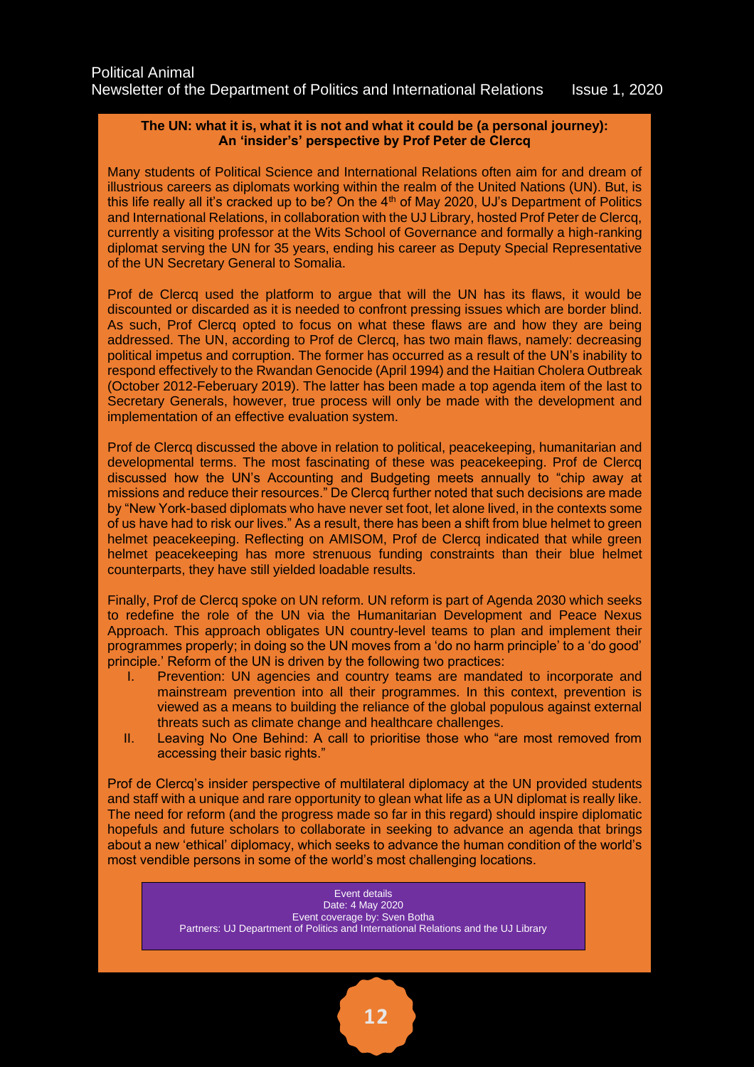## **The UN: what it is, what it is not and what it could be (a personal journey): An 'insider's' perspective by Prof Peter de Clercq**

Many students of Political Science and International Relations often aim for and dream of illustrious careers as diplomats working within the realm of the United Nations (UN). But, is this life really all it's cracked up to be? On the  $4<sup>th</sup>$  of May 2020, UJ's Department of Politics and International Relations, in collaboration with the UJ Library, hosted Prof Peter de Clercq, currently a visiting professor at the Wits School of Governance and formally a high-ranking diplomat serving the UN for 35 years, ending his career as Deputy Special Representative of the UN Secretary General to Somalia.

Prof de Clercq used the platform to argue that will the UN has its flaws, it would be discounted or discarded as it is needed to confront pressing issues which are border blind. As such, Prof Clercq opted to focus on what these flaws are and how they are being addressed. The UN, according to Prof de Clercq, has two main flaws, namely: decreasing political impetus and corruption. The former has occurred as a result of the UN's inability to respond effectively to the Rwandan Genocide (April 1994) and the Haitian Cholera Outbreak (October 2012-Feberuary 2019). The latter has been made a top agenda item of the last to Secretary Generals, however, true process will only be made with the development and implementation of an effective evaluation system.

Prof de Clercq discussed the above in relation to political, peacekeeping, humanitarian and developmental terms. The most fascinating of these was peacekeeping. Prof de Clercq discussed how the UN's Accounting and Budgeting meets annually to "chip away at missions and reduce their resources." De Clercq further noted that such decisions are made by "New York-based diplomats who have never set foot, let alone lived, in the contexts some of us have had to risk our lives." As a result, there has been a shift from blue helmet to green helmet peacekeeping. Reflecting on AMISOM, Prof de Clercq indicated that while green helmet peacekeeping has more strenuous funding constraints than their blue helmet counterparts, they have still yielded loadable results.

Finally, Prof de Clercq spoke on UN reform. UN reform is part of Agenda 2030 which seeks to redefine the role of the UN via the Humanitarian Development and Peace Nexus Approach. This approach obligates UN country-level teams to plan and implement their programmes properly; in doing so the UN moves from a 'do no harm principle' to a 'do good' principle.' Reform of the UN is driven by the following two practices:

- I. Prevention: UN agencies and country teams are mandated to incorporate and mainstream prevention into all their programmes. In this context, prevention is viewed as a means to building the reliance of the global populous against external threats such as climate change and healthcare challenges.
- II. Leaving No One Behind: A call to prioritise those who "are most removed from accessing their basic rights."

Prof de Clercq's insider perspective of multilateral diplomacy at the UN provided students and staff with a unique and rare opportunity to glean what life as a UN diplomat is really like. The need for reform (and the progress made so far in this regard) should inspire diplomatic hopefuls and future scholars to collaborate in seeking to advance an agenda that brings about a new 'ethical' diplomacy, which seeks to advance the human condition of the world's most vendible persons in some of the world's most challenging locations.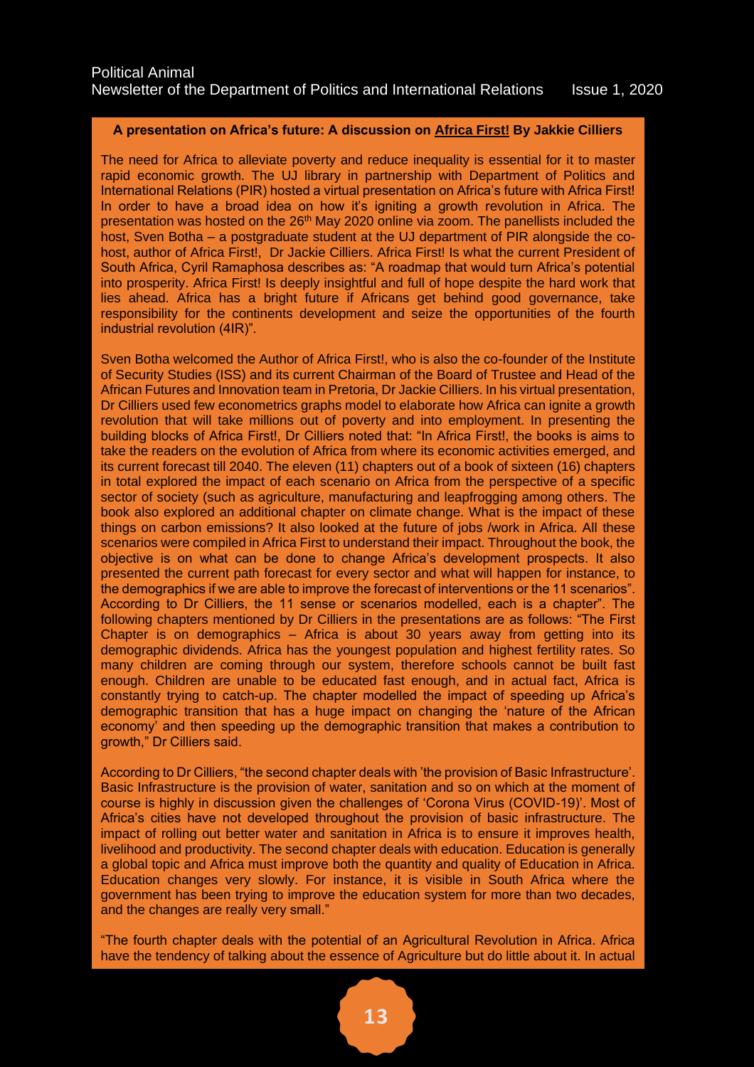### **A presentation on Africa's future: A discussion on Africa First! By Jakkie Cilliers**

The need for Africa to alleviate poverty and reduce inequality is essential for it to master rapid economic growth. The UJ library in partnership with Department of Politics and International Relations (PIR) hosted a virtual presentation on Africa's future with Africa First! In order to have a broad idea on how it's igniting a growth revolution in Africa. The presentation was hosted on the 26<sup>th</sup> May 2020 online via zoom. The panellists included the host, Sven Botha – a postgraduate student at the UJ department of PIR alongside the cohost, author of Africa First!, Dr Jackie Cilliers. Africa First! Is what the current President of South Africa, Cyril Ramaphosa describes as: "A roadmap that would turn Africa's potential into prosperity. Africa First! Is deeply insightful and full of hope despite the hard work that lies ahead. Africa has a bright future if Africans get behind good governance, take responsibility for the continents development and seize the opportunities of the fourth industrial revolution (4IR)".

Sven Botha welcomed the Author of Africa First!, who is also the co-founder of the Institute of Security Studies (ISS) and its current Chairman of the Board of Trustee and Head of the African Futures and Innovation team in Pretoria, Dr Jackie Cilliers. In his virtual presentation, Dr Cilliers used few econometrics graphs model to elaborate how Africa can ignite a growth revolution that will take millions out of poverty and into employment. In presenting the building blocks of Africa First!, Dr Cilliers noted that: "In Africa First!, the books is aims to take the readers on the evolution of Africa from where its economic activities emerged, and its current forecast till 2040. The eleven (11) chapters out of a book of sixteen (16) chapters in total explored the impact of each scenario on Africa from the perspective of a specific sector of society (such as agriculture, manufacturing and leapfrogging among others. The book also explored an additional chapter on climate change. What is the impact of these things on carbon emissions? It also looked at the future of jobs /work in Africa. All these scenarios were compiled in Africa First to understand their impact. Throughout the book, the objective is on what can be done to change Africa's development prospects. It also presented the current path forecast for every sector and what will happen for instance, to the demographics if we are able to improve the forecast of interventions or the 11 scenarios". According to Dr Cilliers, the 11 sense or scenarios modelled, each is a chapter". The following chapters mentioned by Dr Cilliers in the presentations are as follows: "The First Chapter is on demographics – Africa is about 30 years away from getting into its demographic dividends. Africa has the youngest population and highest fertility rates. So many children are coming through our system, therefore schools cannot be built fast enough. Children are unable to be educated fast enough, and in actual fact, Africa is constantly trying to catch-up. The chapter modelled the impact of speeding up Africa's demographic transition that has a huge impact on changing the 'nature of the African economy' and then speeding up the demographic transition that makes a contribution to growth," Dr Cilliers said.

According to Dr Cilliers, "the second chapter deals with 'the provision of Basic Infrastructure'. Basic Infrastructure is the provision of water, sanitation and so on which at the moment of course is highly in discussion given the challenges of 'Corona Virus (COVID-19)'. Most of Africa's cities have not developed throughout the provision of basic infrastructure. The impact of rolling out better water and sanitation in Africa is to ensure it improves health, livelihood and productivity. The second chapter deals with education. Education is generally a global topic and Africa must improve both the quantity and quality of Education in Africa. Education changes very slowly. For instance, it is visible in South Africa where the government has been trying to improve the education system for more than two decades, and the changes are really very small."

"The fourth chapter deals with the potential of an Agricultural Revolution in Africa. Africa have the tendency of talking about the essence of Agriculture but do little about it. In actual fact, if Africans were to emulate the examples of India or Brazil of a 'Green Revolution',

 $u$ unlocking jobs particularly in small hold farming, the future of  $A$  future of  $A$ 

particularly in 'renewables'. 'Rural Electrification' rates in Kenya is faster than anywhere else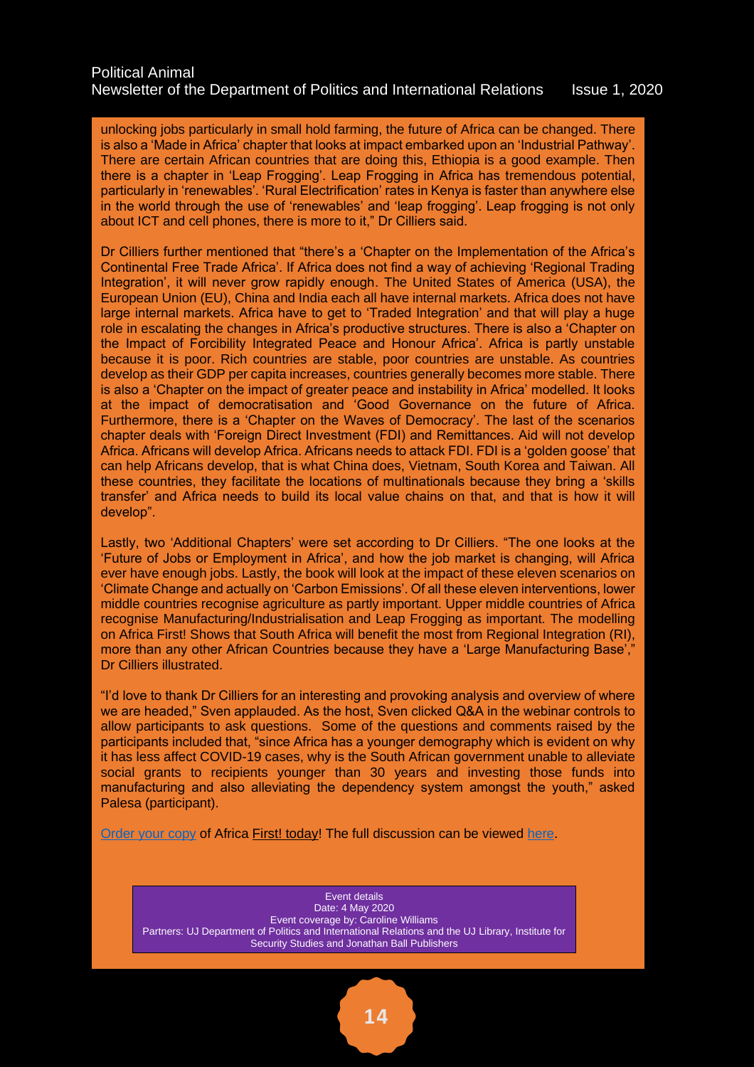# Political Animal Newsletter of the Department of Politics and International Relations Issue 1, 2020

unlocking jobs particularly in small hold farming, the future of Africa can be changed. There is also a 'Made in Africa' chapter that looks at impact embarked upon an 'Industrial Pathway'. There are certain African countries that are doing this, Ethiopia is a good example. Then there is a chapter in 'Leap Frogging'. Leap Frogging in Africa has tremendous potential, particularly in 'renewables'. 'Rural Electrification' rates in Kenya is faster than anywhere else in the world through the use of 'renewables' and 'leap frogging'. Leap frogging is not only about ICT and cell phones, there is more to it," Dr Cilliers said.

Dr Cilliers further mentioned that "there's a 'Chapter on the Implementation of the Africa's Continental Free Trade Africa'. If Africa does not find a way of achieving 'Regional Trading Integration', it will never grow rapidly enough. The United States of America (USA), the European Union (EU), China and India each all have internal markets. Africa does not have large internal markets. Africa have to get to 'Traded Integration' and that will play a huge role in escalating the changes in Africa's productive structures. There is also a 'Chapter on the Impact of Forcibility Integrated Peace and Honour Africa'. Africa is partly unstable because it is poor. Rich countries are stable, poor countries are unstable. As countries develop as their GDP per capita increases, countries generally becomes more stable. There is also a 'Chapter on the impact of greater peace and instability in Africa' modelled. It looks at the impact of democratisation and 'Good Governance on the future of Africa. Furthermore, there is a 'Chapter on the Waves of Democracy'. The last of the scenarios chapter deals with 'Foreign Direct Investment (FDI) and Remittances. Aid will not develop Africa. Africans will develop Africa. Africans needs to attack FDI. FDI is a 'golden goose' that can help Africans develop, that is what China does, Vietnam, South Korea and Taiwan. All these countries, they facilitate the locations of multinationals because they bring a 'skills transfer' and Africa needs to build its local value chains on that, and that is how it will develop".

Lastly, two 'Additional Chapters' were set according to Dr Cilliers. "The one looks at the 'Future of Jobs or Employment in Africa', and how the job market is changing, will Africa ever have enough jobs. Lastly, the book will look at the impact of these eleven scenarios on 'Climate Change and actually on 'Carbon Emissions'. Of all these eleven interventions, lower middle countries recognise agriculture as partly important. Upper middle countries of Africa recognise Manufacturing/Industrialisation and Leap Frogging as important. The modelling on Africa First! Shows that South Africa will benefit the most from Regional Integration (RI), more than any other African Countries because they have a 'Large Manufacturing Base'," Dr Cilliers illustrated.

"I'd love to thank Dr Cilliers for an interesting and provoking analysis and overview of where we are headed," Sven applauded. As the host, Sven clicked Q&A in the webinar controls to allow participants to ask questions. Some of the questions and comments raised by the participants included that, "since Africa has a younger demography which is evident on why it has less affect COVID-19 cases, why is the South African government unable to alleviate social grants to recipients younger than 30 years and investing those funds into manufacturing and also alleviating the dependency system amongst the youth," asked Palesa (participant).

[Order your copy](https://www.loot.co.za/product/jakkie-cilliers-africa-first/snmv-6602-g900) of Africa First! today! The full discussion can be viewed [here.](https://www.youtube.com/watch?v=tEJcLf7felk&t=1s)

Event details Date: 4 May 2020 Event coverage by: Caroline Williams Partners: UJ Department of Politics and International Relations and the UJ Library, Institute for Security Studies and Jonathan Ball Publishers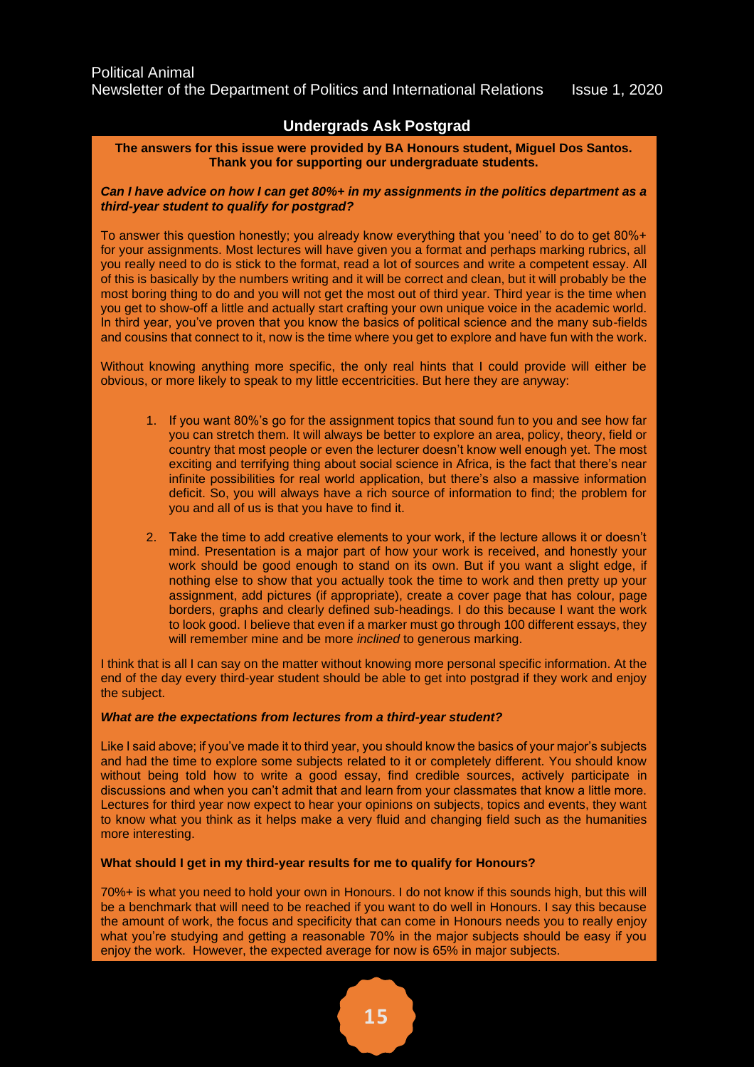# **Undergrads Ask Postgrad**

**The answers for this issue were provided by BA Honours student, Miguel Dos Santos. Thank you for supporting our undergraduate students.**

### *Can I have advice on how I can get 80%+ in my assignments in the politics department as a third-year student to qualify for postgrad?*

To answer this question honestly; you already know everything that you 'need' to do to get 80%+ for your assignments. Most lectures will have given you a format and perhaps marking rubrics, all you really need to do is stick to the format, read a lot of sources and write a competent essay. All of this is basically by the numbers writing and it will be correct and clean, but it will probably be the most boring thing to do and you will not get the most out of third year. Third year is the time when you get to show-off a little and actually start crafting your own unique voice in the academic world. In third year, you've proven that you know the basics of political science and the many sub-fields and cousins that connect to it, now is the time where you get to explore and have fun with the work.

Without knowing anything more specific, the only real hints that I could provide will either be obvious, or more likely to speak to my little eccentricities. But here they are anyway:

- 1. If you want 80%'s go for the assignment topics that sound fun to you and see how far you can stretch them. It will always be better to explore an area, policy, theory, field or country that most people or even the lecturer doesn't know well enough yet. The most exciting and terrifying thing about social science in Africa, is the fact that there's near infinite possibilities for real world application, but there's also a massive information deficit. So, you will always have a rich source of information to find; the problem for you and all of us is that you have to find it.
- 2. Take the time to add creative elements to your work, if the lecture allows it or doesn't mind. Presentation is a major part of how your work is received, and honestly your work should be good enough to stand on its own. But if you want a slight edge, if nothing else to show that you actually took the time to work and then pretty up your assignment, add pictures (if appropriate), create a cover page that has colour, page borders, graphs and clearly defined sub-headings. I do this because I want the work to look good. I believe that even if a marker must go through 100 different essays, they will remember mine and be more *inclined* to generous marking.

I think that is all I can say on the matter without knowing more personal specific information. At the end of the day every third-year student should be able to get into postgrad if they work and enjoy the subject.

### *What are the expectations from lectures from a third-year student?*

Like I said above; if you've made it to third year, you should know the basics of your major's subjects and had the time to explore some subjects related to it or completely different. You should know without being told how to write a good essay, find credible sources, actively participate in discussions and when you can't admit that and learn from your classmates that know a little more. Lectures for third year now expect to hear your opinions on subjects, topics and events, they want to know what you think as it helps make a very fluid and changing field such as the humanities more interesting.

### **What should I get in my third-year results for me to qualify for Honours?**

70%+ is what you need to hold your own in Honours. I do not know if this sounds high, but this will be a benchmark that will need to be reached if you want to do well in Honours. I say this because the amount of work, the focus and specificity that can come in Honours needs you to really enjoy what you're studying and getting a reasonable 70% in the major subjects should be easy if you enjoy the work. However, the expected average for now is 65% in major subjects.

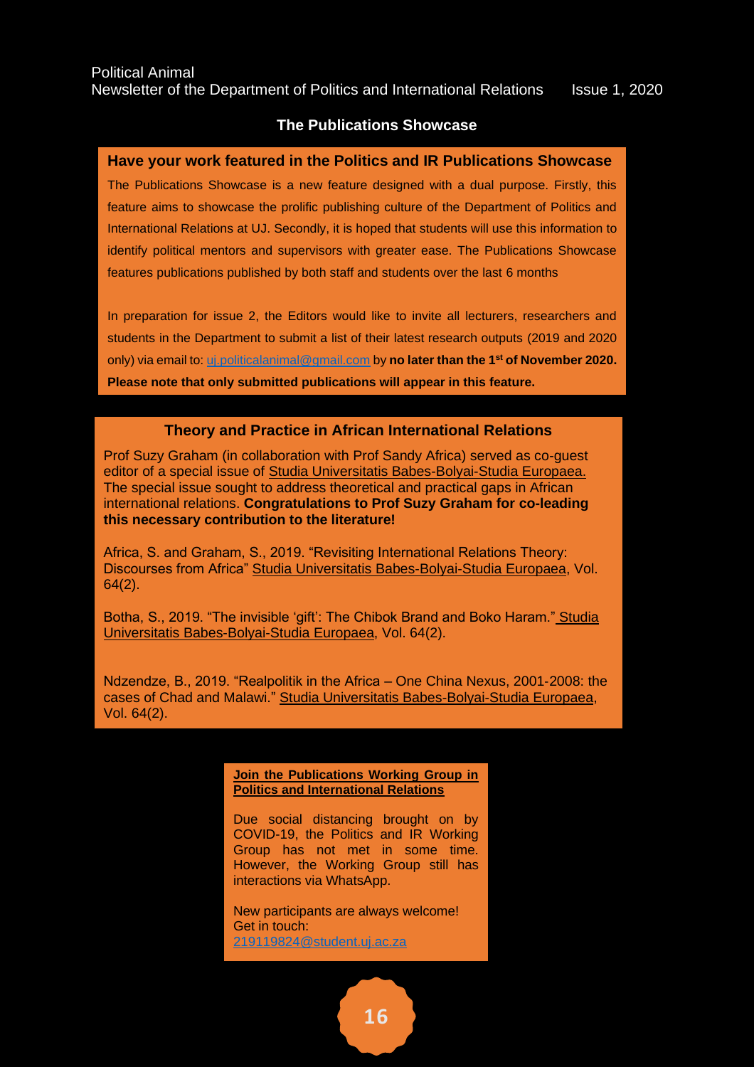# **The Publications Showcase**

## **Have your work featured in the Politics and IR Publications Showcase**

The Publications Showcase is a new feature designed with a dual purpose. Firstly, this feature aims to showcase the prolific publishing culture of the Department of Politics and International Relations at UJ. Secondly, it is hoped that students will use this information to identify political mentors and supervisors with greater ease. The Publications Showcase features publications published by both staff and students over the last 6 months

In preparation for issue 2, the Editors would like to invite all lecturers, researchers and students in the Department to submit a list of their latest research outputs (2019 and 2020 only) via email to: [uj.politicalanimal@gmail.com](mailto:uj.politicalanimal@gmail.com) by **no later than the 1st of November 2020. Please note that only submitted publications will appear in this feature.**

### **Theory and Practice in African International Relations**

 Prof Suzy Graham (in collaboration with Prof Sandy Africa) served as co-guest editor of a special issue of Studia Universitatis Babes-Bolyai-Studia Europaea. The special issue sought to address theoretical and practical gaps in African international relations. **Congratulations to Prof Suzy Graham for co-leading this necessary contribution to the literature!** 

Africa, S. and Graham, S., 2019. "Revisiting International Relations Theory: Discourses from Africa" Studia Universitatis Babes-Bolyai-Studia Europaea, Vol. 64(2).

Botha, S., 2019. "The invisible 'gift': The Chibok Brand and Boko Haram." Studia Universitatis Babes-Bolyai-Studia Europaea, Vol. 64(2).

Ndzendze, B., 2019. "Realpolitik in the Africa – One China Nexus, 2001‐2008: the cases of Chad and Malawi." Studia Universitatis Babes-Bolyai-Studia Europaea, Vol. 64(2).

> **Join the Publications Working Group in Politics and International Relations**

> Due social distancing brought on by COVID-19, the Politics and IR Working Group has not met in some time. However, the Working Group still has interactions via WhatsApp.

New participants are always welcome! Get in touch: [219119824@student.uj.ac.za](mailto:219119824@student.uj.ac.za)

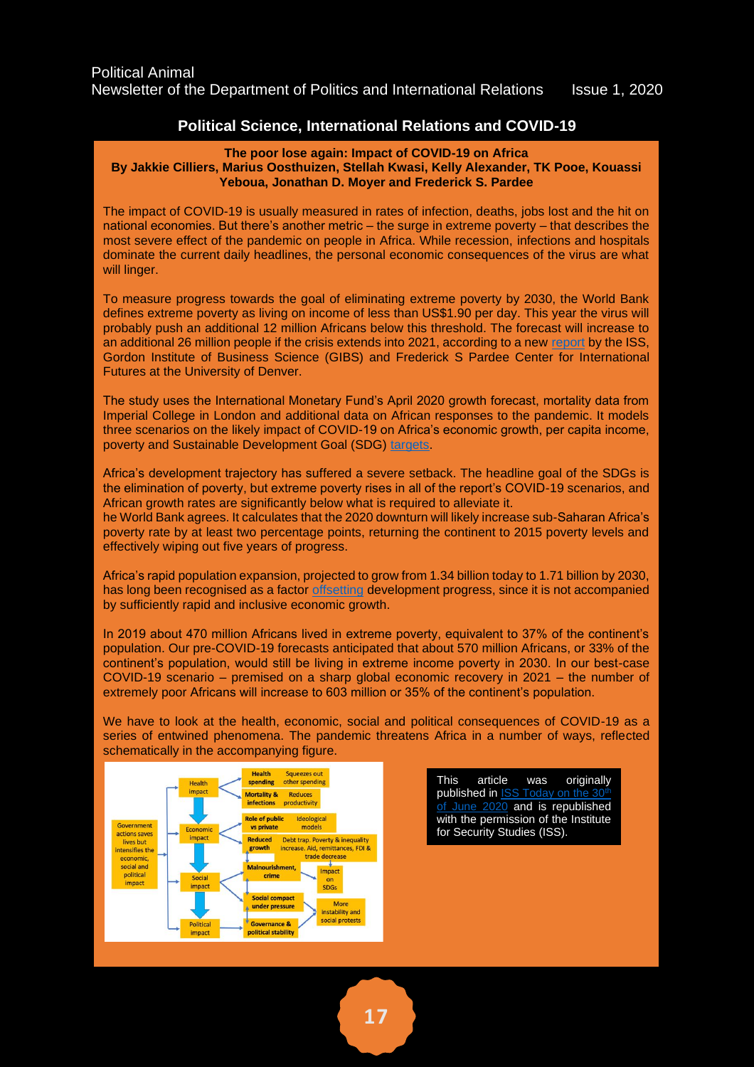# **Political Science, International Relations and COVID-19**

#### **The poor lose again: Impact of COVID-19 on Africa By Jakkie Cilliers, Marius Oosthuizen, Stellah Kwasi, Kelly Alexander, TK Pooe, Kouassi Yeboua, Jonathan D. Moyer and Frederick S. Pardee**

The impact of COVID-19 is usually measured in rates of infection, deaths, jobs lost and the hit on national economies. But there's another metric – the surge in extreme poverty – that describes the most severe effect of the pandemic on people in Africa. While recession, infections and hospitals dominate the current daily headlines, the personal economic consequences of the virus are what will linger.

To measure progress towards the goal of eliminating extreme poverty by 2030, the World Bank defines extreme poverty as living on income of less than US\$1.90 per day. This year the virus will probably push an additional 12 million Africans below this threshold. The forecast will increase to an additional 26 million people if the crisis extends into 2021, according to a new [report](https://issafrica.org/research/books-and-other-publications/exploring-the-impact-of-covid-19-in-africa-a-scenario-analysis-to-2030) by the ISS, Gordon Institute of Business Science (GIBS) and Frederick S Pardee Center for International Futures at the University of Denver.

The study uses the International Monetary Fund's April 2020 growth forecast, mortality data from Imperial College in London and additional data on African responses to the pandemic. It models three scenarios on the likely impact of COVID-19 on Africa's economic growth, per capita income, poverty and Sustainable Development Goal (SDG) [targets.](https://sustainabledevelopment.un.org/?menu=1300)

Africa's development trajectory has suffered a severe setback. The headline goal of the SDGs is the elimination of poverty, but extreme poverty rises in all of the report's COVID-19 scenarios, and African growth rates are significantly below what is required to alleviate it.

he World Bank agrees. It calculates that the 2020 downturn will likely increase sub-Saharan Africa's poverty rate by at least two percentage points, returning the continent to 2015 poverty levels and effectively wiping out five years of progress.

Africa's rapid population expansion, projected to grow from 1.34 billion today to 1.71 billion by 2030, has long been recognised as a factor [offsetting](https://issafrica.org/research/africa-report/getting-to-africas-demographic-dividend) development progress, since it is not accompanied by sufficiently rapid and inclusive economic growth.

In 2019 about 470 million Africans lived in extreme poverty, equivalent to 37% of the continent's population. Our pre-COVID-19 forecasts anticipated that about 570 million Africans, or 33% of the continent's population, would still be living in extreme income poverty in 2030. In our best-case COVID-19 scenario – premised on a sharp global economic recovery in 2021 – the number of extremely poor Africans will increase to 603 million or 35% of the continent's population.

We have to look at the health, economic, social and political consequences of COVID-19 as a series of entwined phenomena. The pandemic threatens Africa in a number of ways, reflected schematically in the accompanying figure.



This article was originally published in **ISS Today** on the 3 [of June 2020](https://issafrica.org/iss-today/the-poor-lose-again-impact-of-covid-19-on-africa) and is republished with the permission of the Institute for Security Studies (ISS).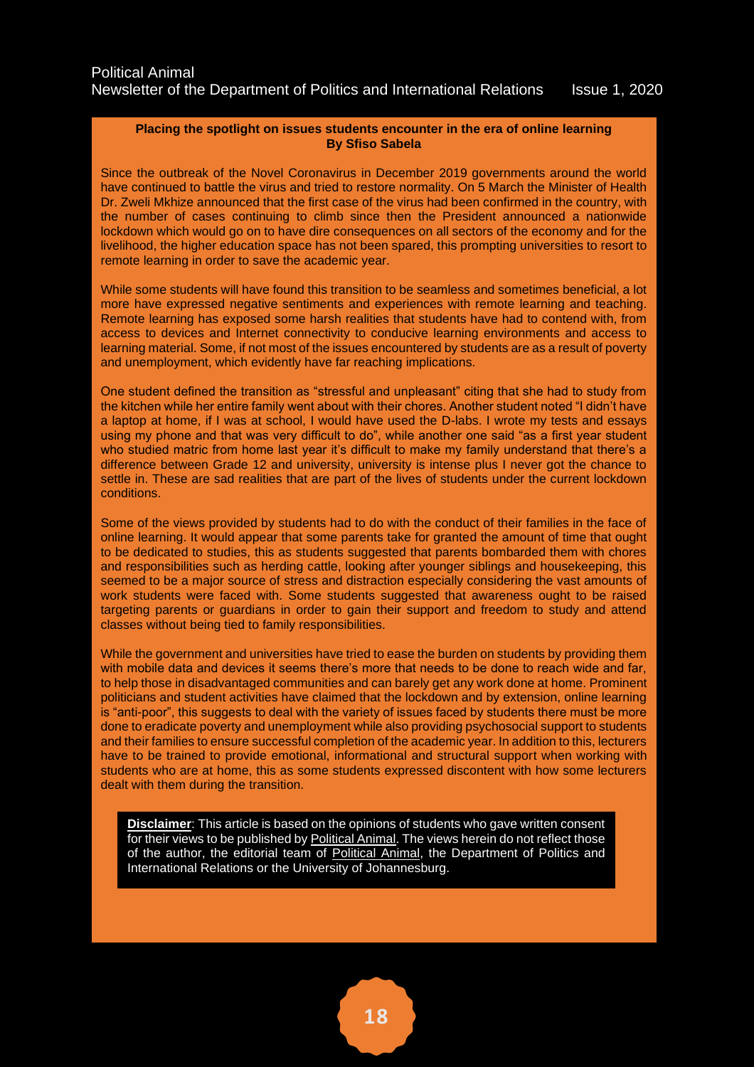### **Placing the spotlight on issues students encounter in the era of online learning By Sfiso Sabela**

Since the outbreak of the Novel Coronavirus in December 2019 governments around the world have continued to battle the virus and tried to restore normality. On 5 March the Minister of Health Dr. Zweli Mkhize announced that the first case of the virus had been confirmed in the country, with the number of cases continuing to climb since then the President announced a nationwide lockdown which would go on to have dire consequences on all sectors of the economy and for the livelihood, the higher education space has not been spared, this prompting universities to resort to remote learning in order to save the academic year.

While some students will have found this transition to be seamless and sometimes beneficial, a lot more have expressed negative sentiments and experiences with remote learning and teaching. Remote learning has exposed some harsh realities that students have had to contend with, from access to devices and Internet connectivity to conducive learning environments and access to learning material. Some, if not most of the issues encountered by students are as a result of poverty and unemployment, which evidently have far reaching implications.

One student defined the transition as "stressful and unpleasant" citing that she had to study from the kitchen while her entire family went about with their chores. Another student noted "I didn't have a laptop at home, if I was at school, I would have used the D-labs. I wrote my tests and essays using my phone and that was very difficult to do", while another one said "as a first year student who studied matric from home last year it's difficult to make my family understand that there's a difference between Grade 12 and university, university is intense plus I never got the chance to settle in. These are sad realities that are part of the lives of students under the current lockdown conditions.

Some of the views provided by students had to do with the conduct of their families in the face of online learning. It would appear that some parents take for granted the amount of time that ought to be dedicated to studies, this as students suggested that parents bombarded them with chores and responsibilities such as herding cattle, looking after younger siblings and housekeeping, this seemed to be a major source of stress and distraction especially considering the vast amounts of work students were faced with. Some students suggested that awareness ought to be raised targeting parents or guardians in order to gain their support and freedom to study and attend classes without being tied to family responsibilities.

While the government and universities have tried to ease the burden on students by providing them with mobile data and devices it seems there's more that needs to be done to reach wide and far, to help those in disadvantaged communities and can barely get any work done at home. Prominent politicians and student activities have claimed that the lockdown and by extension, online learning is "anti-poor", this suggests to deal with the variety of issues faced by students there must be more done to eradicate poverty and unemployment while also providing psychosocial support to students and their families to ensure successful completion of the academic year. In addition to this, lecturers have to be trained to provide emotional, informational and structural support when working with students who are at home, this as some students expressed discontent with how some lecturers dealt with them during the transition.

**Disclaimer**: This article is based on the opinions of students who gave written consent for their views to be published by Political Animal. The views herein do not reflect those of the author, the editorial team of Political Animal, the Department of Politics and International Relations or the University of Johannesburg.

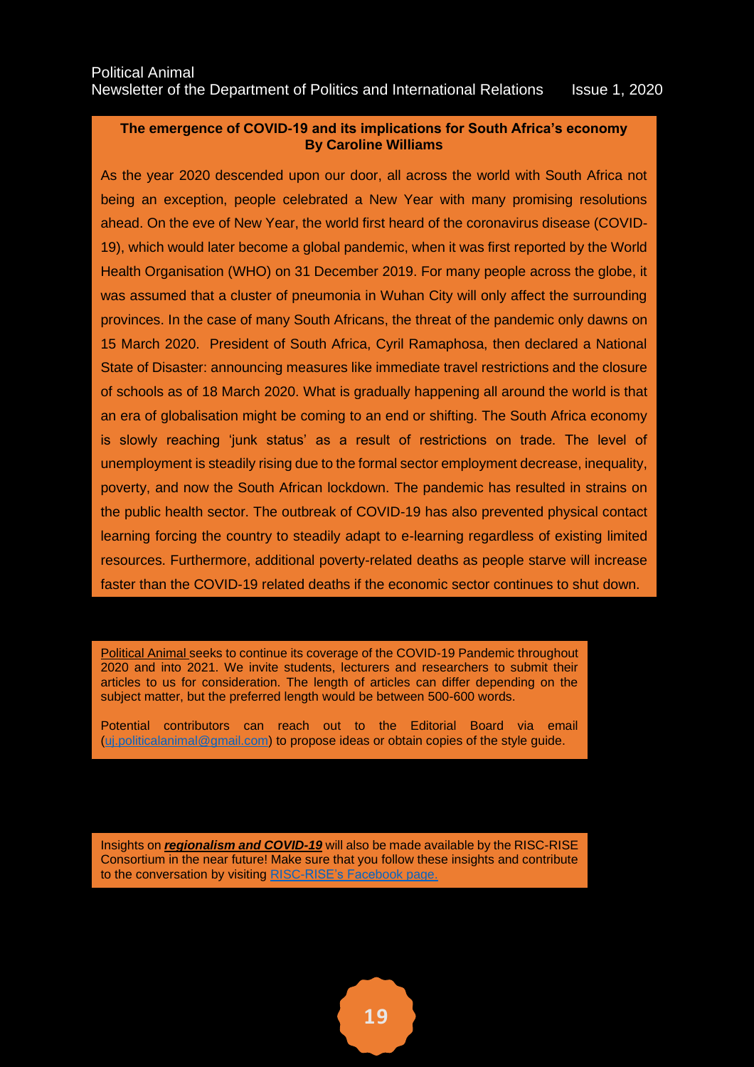# **The emergence of COVID-19 and its implications for South Africa's economy By Caroline Williams**

As the year 2020 descended upon our door, all across the world with South Africa not being an exception, people celebrated a New Year with many promising resolutions ahead. On the eve of New Year, the world first heard of the coronavirus disease (COVID-19), which would later become a global pandemic, when it was first reported by the World Health Organisation (WHO) on 31 December 2019. For many people across the globe, it was assumed that a cluster of pneumonia in Wuhan City will only affect the surrounding provinces. In the case of many South Africans, the threat of the pandemic only dawns on 15 March 2020. President of South Africa, Cyril Ramaphosa, then declared a National State of Disaster: announcing measures like immediate travel restrictions and the closure of schools as of 18 March 2020. What is gradually happening all around the world is that an era of globalisation might be coming to an end or shifting. The South Africa economy is slowly reaching 'junk status' as a result of restrictions on trade. The level of unemployment is steadily rising due to the formal sector employment decrease, inequality, poverty, and now the South African lockdown. The pandemic has resulted in strains on the public health sector. The outbreak of COVID-19 has also prevented physical contact learning forcing the country to steadily adapt to e-learning regardless of existing limited resources. Furthermore, additional poverty-related deaths as people starve will increase faster than the COVID-19 related deaths if the economic sector continues to shut down.

Political Animal seeks to continue its coverage of the COVID-19 Pandemic throughout 2020 and into 2021. We invite students, lecturers and researchers to submit their articles to us for consideration. The length of articles can differ depending on the subject matter, but the preferred length would be between 500-600 words.

Potential contributors can reach out to the Editorial Board via email [\(uj.politicalanimal@gmail.com\)](mailto:uj.politicalanimal@gmail.com) to propose ideas or obtain copies of the style guide.

Insights on *regionalism and COVID-19* will also be made available by the RISC-RISE Consortium in the near future! Make sure that you follow these insights and contribute to the conversation by visiting [RISC-RISE's Facebook page.](http://facebook.com/RISCconsortium)

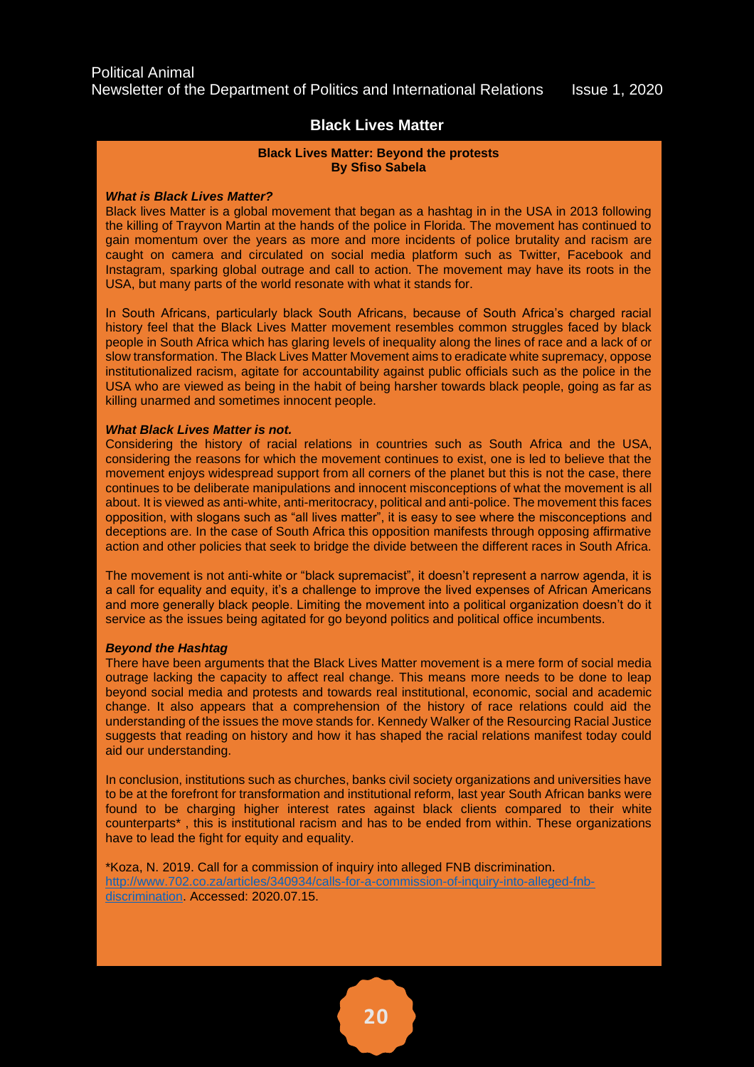# **Black Lives Matter**

### **Black Lives Matter: Beyond the protests By Sfiso Sabela**

#### *What is Black Lives Matter?*

Black lives Matter is a global movement that began as a hashtag in in the USA in 2013 following the killing of Trayvon Martin at the hands of the police in Florida. The movement has continued to gain momentum over the years as more and more incidents of police brutality and racism are caught on camera and circulated on social media platform such as Twitter, Facebook and Instagram, sparking global outrage and call to action. The movement may have its roots in the USA, but many parts of the world resonate with what it stands for.

In South Africans, particularly black South Africans, because of South Africa's charged racial history feel that the Black Lives Matter movement resembles common struggles faced by black people in South Africa which has glaring levels of inequality along the lines of race and a lack of or slow transformation. The Black Lives Matter Movement aims to eradicate white supremacy, oppose institutionalized racism, agitate for accountability against public officials such as the police in the USA who are viewed as being in the habit of being harsher towards black people, going as far as killing unarmed and sometimes innocent people.

#### *What Black Lives Matter is not.*

Considering the history of racial relations in countries such as South Africa and the USA, considering the reasons for which the movement continues to exist, one is led to believe that the movement enjoys widespread support from all corners of the planet but this is not the case, there continues to be deliberate manipulations and innocent misconceptions of what the movement is all about. It is viewed as anti-white, anti-meritocracy, political and anti-police. The movement this faces opposition, with slogans such as "all lives matter", it is easy to see where the misconceptions and deceptions are. In the case of South Africa this opposition manifests through opposing affirmative action and other policies that seek to bridge the divide between the different races in South Africa.

The movement is not anti-white or "black supremacist", it doesn't represent a narrow agenda, it is a call for equality and equity, it's a challenge to improve the lived expenses of African Americans and more generally black people. Limiting the movement into a political organization doesn't do it service as the issues being agitated for go beyond politics and political office incumbents.

### *Beyond the Hashtag*

There have been arguments that the Black Lives Matter movement is a mere form of social media outrage lacking the capacity to affect real change. This means more needs to be done to leap beyond social media and protests and towards real institutional, economic, social and academic change. It also appears that a comprehension of the history of race relations could aid the understanding of the issues the move stands for. Kennedy Walker of the Resourcing Racial Justice suggests that reading on history and how it has shaped the racial relations manifest today could aid our understanding.

In conclusion, institutions such as churches, banks civil society organizations and universities have to be at the forefront for transformation and institutional reform, last year South African banks were found to be charging higher interest rates against black clients compared to their white counterparts\* , this is institutional racism and has to be ended from within. These organizations have to lead the fight for equity and equality.

\*Koza, N. 2019. Call for a commission of inquiry into alleged FNB discrimination. [http://www.702.co.za/articles/340934/calls-for-a-commission-of-inquiry-into-alleged-fnb](http://www.702.co.za/articles/340934/calls-for-a-commission-of-inquiry-into-alleged-fnb-discrimination)[discrimination.](http://www.702.co.za/articles/340934/calls-for-a-commission-of-inquiry-into-alleged-fnb-discrimination) Accessed: 2020.07.15.